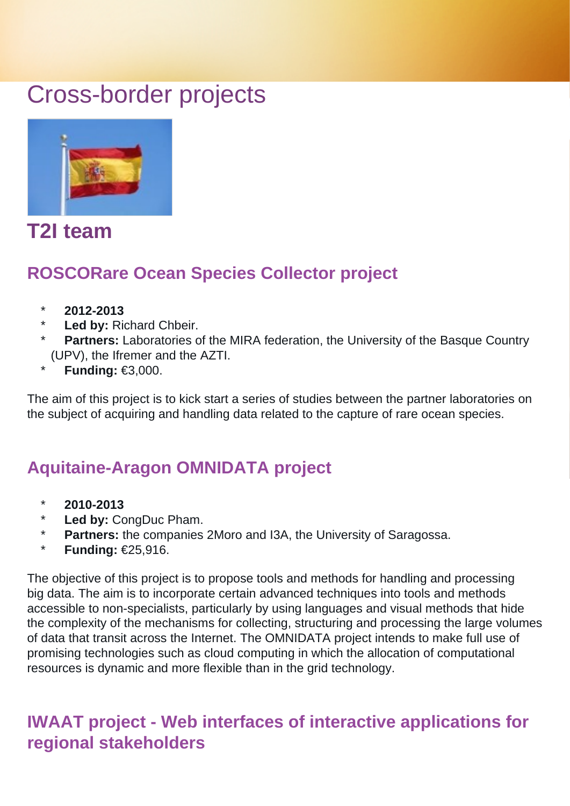# Cross-border projects



## **T2I team**

### **ROSCORare Ocean Species Collector project**

- \* **2012-2013**
- Led by: Richard Chbeir.
- **Partners:** Laboratories of the MIRA federation, the University of the Basque Country (UPV), the Ifremer and the AZTI.
- **Funding: €3,000.**

The aim of this project is to kick start a series of studies between the partner laboratories on the subject of acquiring and handling data related to the capture of rare ocean species.

#### **Aquitaine-Aragon OMNIDATA project**

- \* **2010-2013**
- \* **Led by:** CongDuc Pham.
- \* **Partners:** the companies 2Moro and I3A, the University of Saragossa.
- \* **Funding:** €25,916.

The objective of this project is to propose tools and methods for handling and processing big data. The aim is to incorporate certain advanced techniques into tools and methods accessible to non-specialists, particularly by using languages and visual methods that hide the complexity of the mechanisms for collecting, structuring and processing the large volumes of data that transit across the Internet. The OMNIDATA project intends to make full use of promising technologies such as cloud computing in which the allocation of computational resources is dynamic and more flexible than in the grid technology.

#### **IWAAT project - Web interfaces of interactive applications for regional stakeholders**